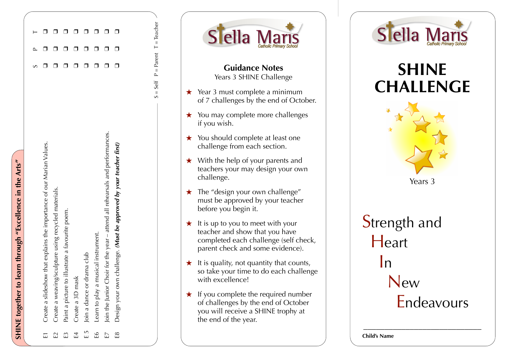|  |  | Design your own challenge. (Must be approved by your teacher first)<br>E8                     |  |
|--|--|-----------------------------------------------------------------------------------------------|--|
|  |  | Join the Junior Choir for the year – attend all rehearsals and performances.<br>EZ            |  |
|  |  | Learn to play a musical instrument.<br>6ء<br>م                                                |  |
|  |  | Join a dance or drama club<br>E<br>H                                                          |  |
|  |  | Create a 3D mask<br>E4                                                                        |  |
|  |  | Paint a picture to illustrate a favourite poem.<br>$\mathbb{E}$                               |  |
|  |  | Create a weaving/sculpture using recycled materials.<br>$\overline{\Xi}$                      |  |
|  |  | Create a slideshow that explains the importance of our Marian Values.<br>$\overline{\square}$ |  |
|  |  |                                                                                               |  |
|  |  |                                                                                               |  |

 $S = Self$  P = Parent T = Teacher

Parent  $\overline{\mathbf{u}}$  $\overline{\mathbf{r}}$ Self  $\overline{\mathbf{u}}$  $\infty$ 

 $T = Teacher$ 

**SHINE together to learn through "Excellence in the Arts"**

SHINE together to learn through "Excellence in the Arts"





## **SHINE CHALLENGE**



**Strength and Heart**  In New Endeavours

\_\_\_\_\_\_\_\_\_\_\_\_\_\_\_\_\_\_\_\_\_\_\_\_\_\_\_\_

**Child's Name**